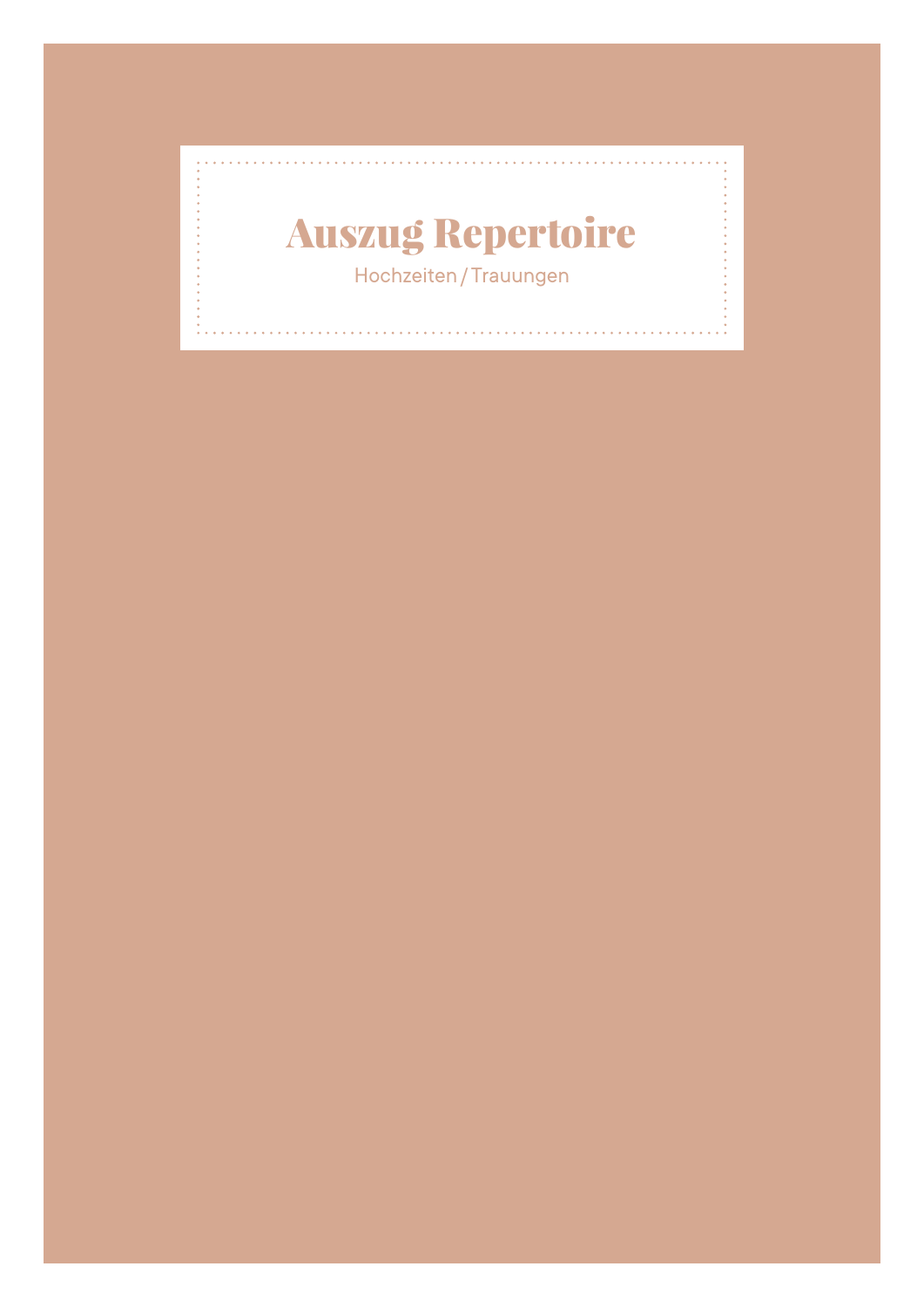#### Auszug Repertoire Hochzeiten / Trauungen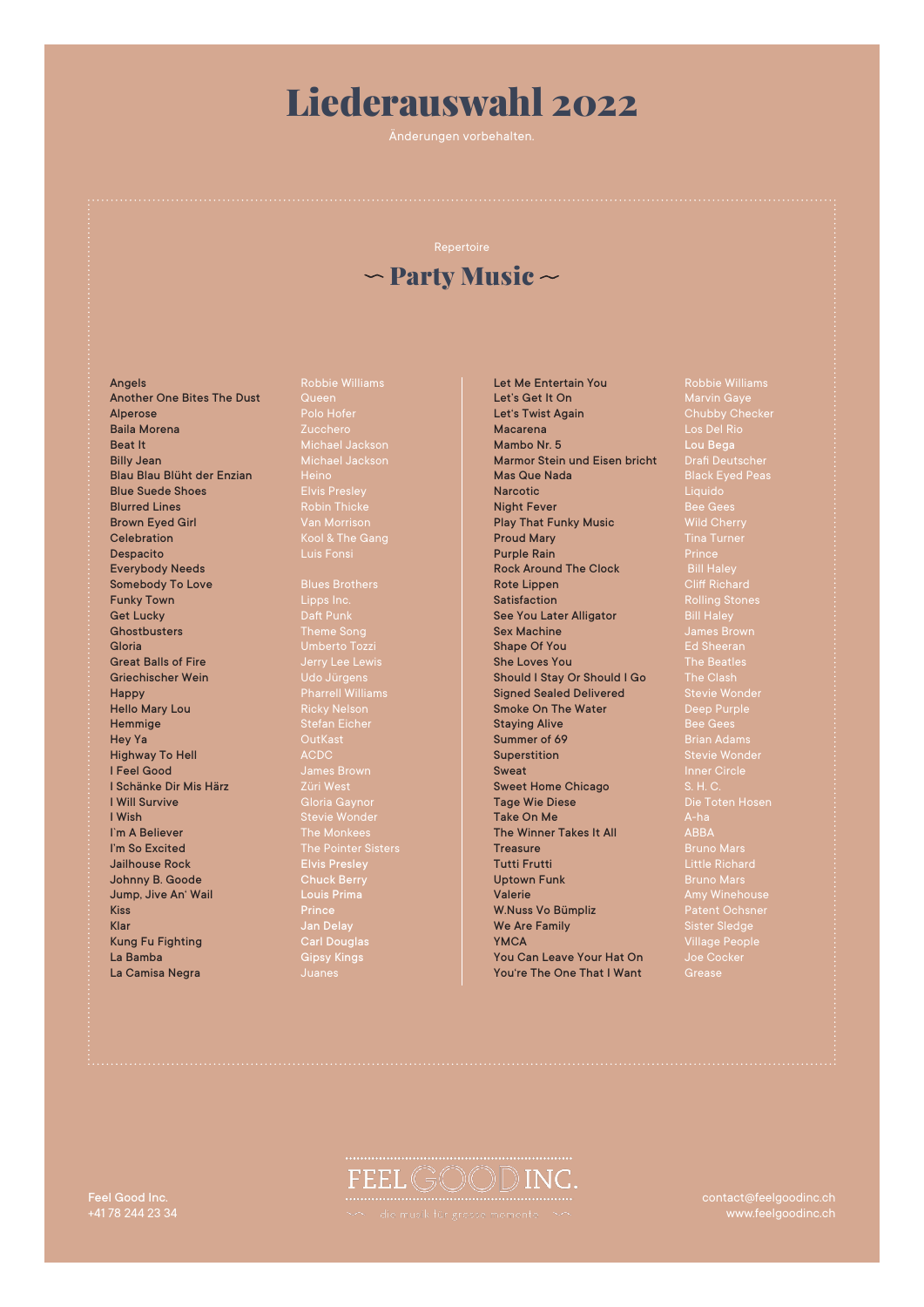### Liederauswahl 2022

Änderungen vorbehalten.

### $\sim$  Party Music  $\sim$

Another One Bites The Dust of Another One Bites The Dust Cueen<br>Alperose Polo Hofer Baila Morena Zucchero Beat It Michael Jackson Billy Jean Michael Jackson Blau Blau Blüht der Enzian Heino<br>**Blue Suede Shoes** Elvis Presley Blue Suede Shoes<br>Blurred Lines Blurred Lines **Robin Thicke** Robin Thicke Brown Eyed Girl<br>Celebration **Celebration Celebration** Kool & The Gang Despacito Luis Fonsi Everybody Needs Somebody To Love **Funky Town** Get Lucky Daft Punk Ghostbusters **Theme Song** Gloria Umberto Tozzi **Great Balls of Fire** Griechischer Wein **Happy Pharrell Williams** Hello Mary Lou Ricky Nelson Hemmige Stefan Eicher Hey Ya OutKast Highway To Hell<br>I Feel Good I Schänke Dir Mis Härz Züri West **I Will Survive Communist Communist Communist Communist Communist Communist Communist Communist Communist Communist Communist Communist Communist Communist Communist Communist Communist Communist Communist Communist Commun** I Wish Stevie Wonder (Stevie Wonder I`m A Believer The Monkees **I'm So Excited The Pointer Sisters** Jailhouse Rock Elvis Presley<br>Johnny B. Goode Chuck Berry<br>Jump, Jive An' Wail Louis Prima Johnny B. Goode Jump, Jive An' Wail **Kiss Prince (2008)**<br>Riss Prince Klar Jan Delay Kung Fu Fighting **Kung Fu Fighting Alimes Carl Douglas<br>
La Bamba Gipsy Kings<br>
La Camisa Negra Alimes Duanes** La Camisa Negra

**Angels** Robbie Williams

**Let Me Entertain You** Robbie Williams<br> **Let's Get It On Marvin Gave** Let's Get It On Marvin Gaye Let's Twist Again Chubby Checker Macarena Los Del Rio Mambo Nr. 5 Marmor Stein und Eisen bricht Mambo Nr. 5<br>
Marmor Stein und Eisen bricht Drafi Deutscher<br>
Mas Que Nada Black Eyed Peas **Narcotic**<br> **Night Fever**<br> **Night Fever Constant Constant Constant Constant Constant Constant Constant Constant Constant Constant Constant Constant Constant Constant Constant Constant Constant Constant Constant Constant** Play That Funky Music Proud Mary Time Turner<br>Proud Mary Tina Turner<br>Purple Rain Prince Purple Rain<br>
Rock Around The Clock<br>
Bill Haley Rock Around The Clock<br>Rote Lippen Rote Lippen Cliff Richard Satisfaction **Rolling Stones** See You Later Alligator Sex Machine **Sex Machine** James Brown Shape Of You Ed Sheeran She Loves You The Beatles<br>Should I Stay Or Should I Go The Clash Should I Stay Or Should I Go The Clash<br>
Signed Sealed Delivered Stevie Wonder Signed Sealed Delivered Smoke On The Water Deep Purple<br>
Staying Alive Bee Gees<br>
Summer of 69<br>
Dian Adams **Staying Alive** Summer of 69<br>Superstition Sweat Inner Circle<br>Sweet Home Chicago S. H. C. Sweet Home Chicago Tage Wie Diese Die Toten Hosen Take On Me<br>The Winner Takes It All **ARRA** The Winner Takes It All **Treasure Bruno Mars**<br>**Tutti Frutti Bruno Mars**<br>**Little Richa** Tutti Frutti Little Richard Uptown Funk Bruno Mars **Valerie Amy Winehouse Amy Winehouse** W.Nuss Vo Bümpliz Patent Ochsner<br>We Are Family Patent Ochsmer Redge We Are Family **YMCA** Village People<br> **You Can Leave Your Hat On** Joe Cocker You Can Leave Your Hat On Joe Co.<br>You're The One That I Want Grease You're The One That I Want

Stevie Wonder<br>Stevie Wonder

## FEELGOODINC

contact@feelgoodinc.ch